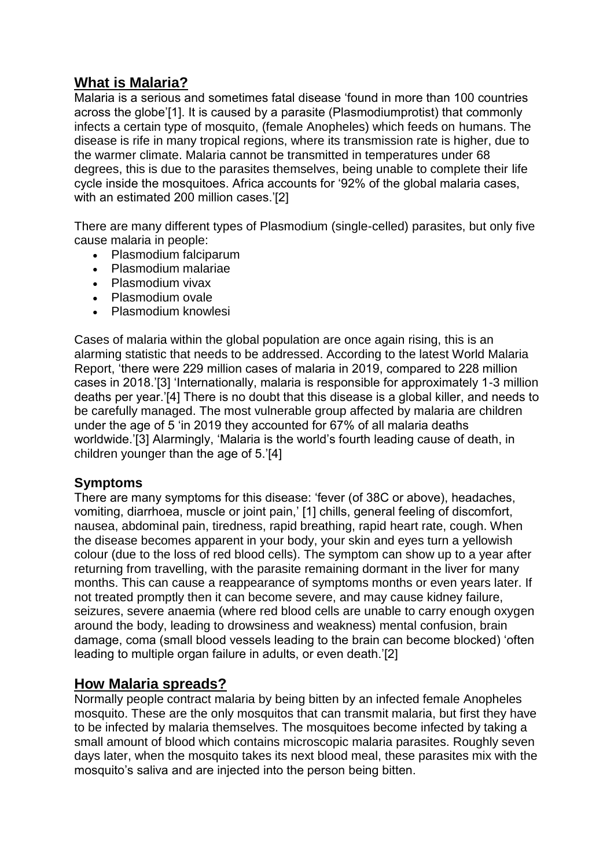# **What is Malaria?**

Malaria is a serious and sometimes fatal disease 'found in more than 100 countries across the globe'[1]. It is caused by a parasite (Plasmodiumprotist) that commonly infects a certain type of mosquito, (female Anopheles) which feeds on humans. The disease is rife in many tropical regions, where its transmission rate is higher, due to the warmer climate. Malaria cannot be transmitted in temperatures under 68 degrees, this is due to the parasites themselves, being unable to complete their life cycle inside the mosquitoes. Africa accounts for '92% of the global malaria cases, with an estimated 200 million cases.'[2]

There are many different types of Plasmodium (single-celled) parasites, but only five cause malaria in people:

- Plasmodium falciparum
- Plasmodium malariae
- Plasmodium vivax
- Plasmodium ovale
- Plasmodium knowlesi

Cases of malaria within the global population are once again rising, this is an alarming statistic that needs to be addressed. According to the latest World Malaria Report, 'there were 229 million cases of malaria in 2019, compared to 228 million cases in 2018.'[3] 'Internationally, malaria is responsible for approximately 1-3 million deaths per year.'[4] There is no doubt that this disease is a global killer, and needs to be carefully managed. The most vulnerable group affected by malaria are children under the age of 5 'in 2019 they accounted for 67% of all malaria deaths worldwide.'[3] Alarmingly, 'Malaria is the world's fourth leading cause of death, in children younger than the age of 5.'[4]

#### **Symptoms**

There are many symptoms for this disease: 'fever (of 38C or above), headaches, vomiting, diarrhoea, muscle or joint pain,' [1] chills, general feeling of discomfort, nausea, abdominal pain, tiredness, rapid breathing, rapid heart rate, cough. When the disease becomes apparent in your body, your skin and eyes turn a yellowish colour (due to the loss of red blood cells). The symptom can show up to a year after returning from travelling, with the parasite remaining dormant in the liver for many months. This can cause a reappearance of symptoms months or even years later. If not treated promptly then it can become severe, and may cause kidney failure, seizures, severe anaemia (where red blood cells are unable to carry enough oxygen around the body, leading to drowsiness and weakness) mental confusion, brain damage, coma (small blood vessels leading to the brain can become blocked) 'often leading to multiple organ failure in adults, or even death.'[2]

# **How Malaria spreads?**

Normally people contract malaria by being bitten by an infected female Anopheles mosquito. These are the only mosquitos that can transmit malaria, but first they have to be infected by malaria themselves. The mosquitoes become infected by taking a small amount of blood which contains microscopic malaria parasites. Roughly seven days later, when the mosquito takes its next blood meal, these parasites mix with the mosquito's saliva and are injected into the person being bitten.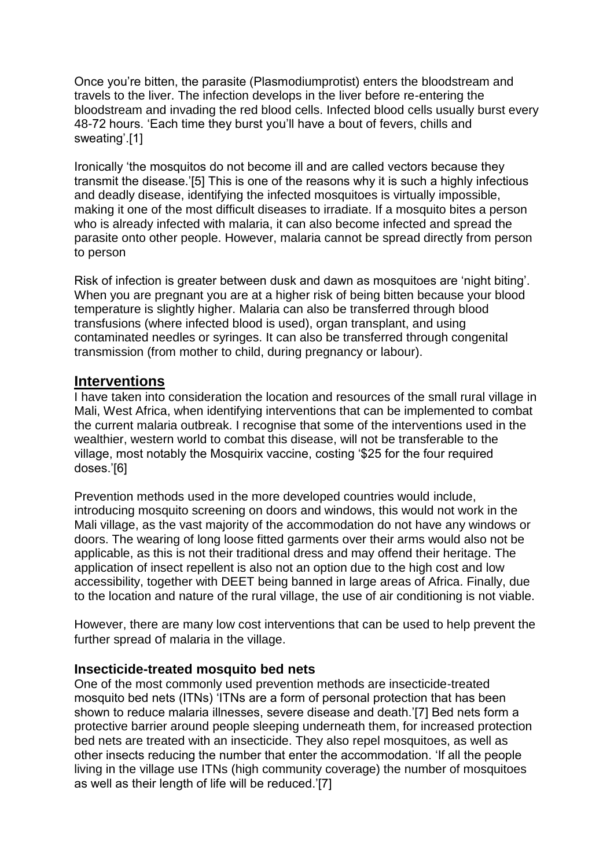Once you're bitten, the parasite (Plasmodiumprotist) enters the bloodstream and travels to the liver. The infection develops in the liver before re-entering the bloodstream and invading the red blood cells. Infected blood cells usually burst every 48-72 hours. 'Each time they burst you'll have a bout of fevers, chills and sweating'.[1]

Ironically 'the mosquitos do not become ill and are called vectors because they transmit the disease.'[5] This is one of the reasons why it is such a highly infectious and deadly disease, identifying the infected mosquitoes is virtually impossible, making it one of the most difficult diseases to irradiate. If a mosquito bites a person who is already infected with malaria, it can also become infected and spread the parasite onto other people. However, malaria cannot be spread directly from person to person

Risk of infection is greater between dusk and dawn as mosquitoes are 'night biting'. When you are pregnant you are at a higher risk of being bitten because your blood temperature is slightly higher. Malaria can also be transferred through blood transfusions (where infected blood is used), organ transplant, and using contaminated needles or syringes. It can also be transferred through congenital transmission (from mother to child, during pregnancy or labour).

### **Interventions**

I have taken into consideration the location and resources of the small rural village in Mali, West Africa, when identifying interventions that can be implemented to combat the current malaria outbreak. I recognise that some of the interventions used in the wealthier, western world to combat this disease, will not be transferable to the village, most notably the Mosquirix vaccine, costing '\$25 for the four required doses.'[6]

Prevention methods used in the more developed countries would include, introducing mosquito screening on doors and windows, this would not work in the Mali village, as the vast majority of the accommodation do not have any windows or doors. The wearing of long loose fitted garments over their arms would also not be applicable, as this is not their traditional dress and may offend their heritage. The application of insect repellent is also not an option due to the high cost and low accessibility, together with DEET being banned in large areas of Africa. Finally, due to the location and nature of the rural village, the use of air conditioning is not viable.

However, there are many low cost interventions that can be used to help prevent the further spread of malaria in the village.

#### **Insecticide-treated mosquito bed nets**

One of the most commonly used prevention methods are insecticide-treated mosquito bed nets (ITNs) 'ITNs are a form of personal protection that has been shown to reduce malaria illnesses, severe disease and death.'[7] Bed nets form a protective barrier around people sleeping underneath them, for increased protection bed nets are treated with an insecticide. They also repel mosquitoes, as well as other insects reducing the number that enter the accommodation. 'If all the people living in the village use ITNs (high community coverage) the number of mosquitoes as well as their length of life will be reduced.'[7]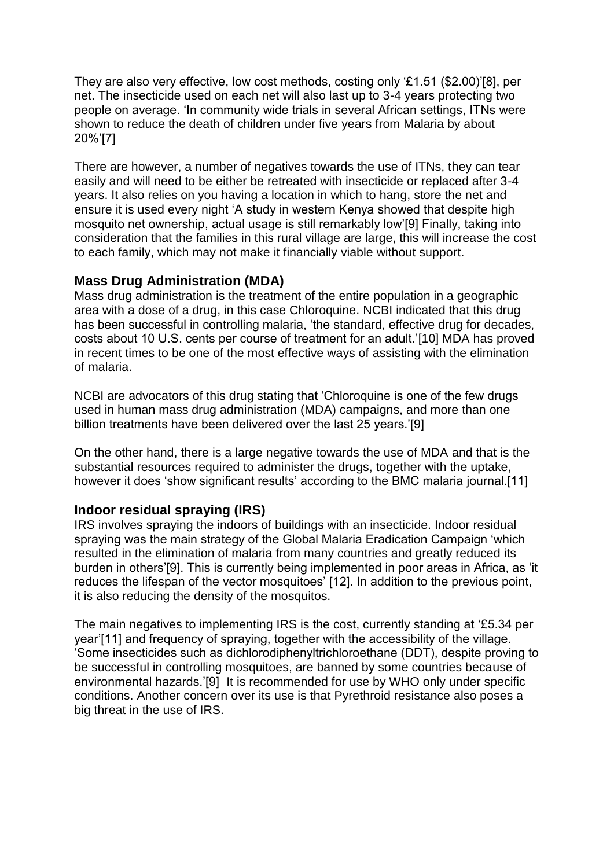They are also very effective, low cost methods, costing only '£1.51 (\$2.00)'[8], per net. The insecticide used on each net will also last up to 3-4 years protecting two people on average. 'In community wide trials in several African settings, ITNs were shown to reduce the death of children under five years from Malaria by about 20%'[7]

There are however, a number of negatives towards the use of ITNs, they can tear easily and will need to be either be retreated with insecticide or replaced after 3-4 years. It also relies on you having a location in which to hang, store the net and ensure it is used every night 'A study in western Kenya showed that despite high mosquito net ownership, actual usage is still remarkably low'[9] Finally, taking into consideration that the families in this rural village are large, this will increase the cost to each family, which may not make it financially viable without support.

#### **Mass Drug Administration (MDA)**

Mass drug administration is the treatment of the entire population in a geographic area with a dose of a drug, in this case Chloroquine. NCBI indicated that this drug has been successful in controlling malaria, 'the standard, effective drug for decades, costs about 10 U.S. cents per course of treatment for an adult.'[10] MDA has proved in recent times to be one of the most effective ways of assisting with the elimination of malaria.

NCBI are advocators of this drug stating that 'Chloroquine is one of the few drugs used in human mass drug administration (MDA) campaigns, and more than one billion treatments have been delivered over the last 25 years.'[9]

On the other hand, there is a large negative towards the use of MDA and that is the substantial resources required to administer the drugs, together with the uptake, however it does 'show significant results' according to the BMC malaria journal.[11]

#### **Indoor residual spraying (IRS)**

IRS involves spraying the indoors of buildings with an insecticide. Indoor residual spraying was the main strategy of the Global Malaria Eradication Campaign 'which resulted in the elimination of malaria from many countries and greatly reduced its burden in others'[9]. This is currently being implemented in poor areas in Africa, as 'it reduces the lifespan of the vector mosquitoes' [12]. In addition to the previous point, it is also reducing the density of the mosquitos.

The main negatives to implementing IRS is the cost, currently standing at '£5.34 per year'[11] and frequency of spraying, together with the accessibility of the village. 'Some insecticides such as dichlorodiphenyltrichloroethane (DDT), despite proving to be successful in controlling mosquitoes, are banned by some countries because of environmental hazards.'[9] It is recommended for use by WHO only under specific conditions. Another concern over its use is that Pyrethroid resistance also poses a big threat in the use of IRS.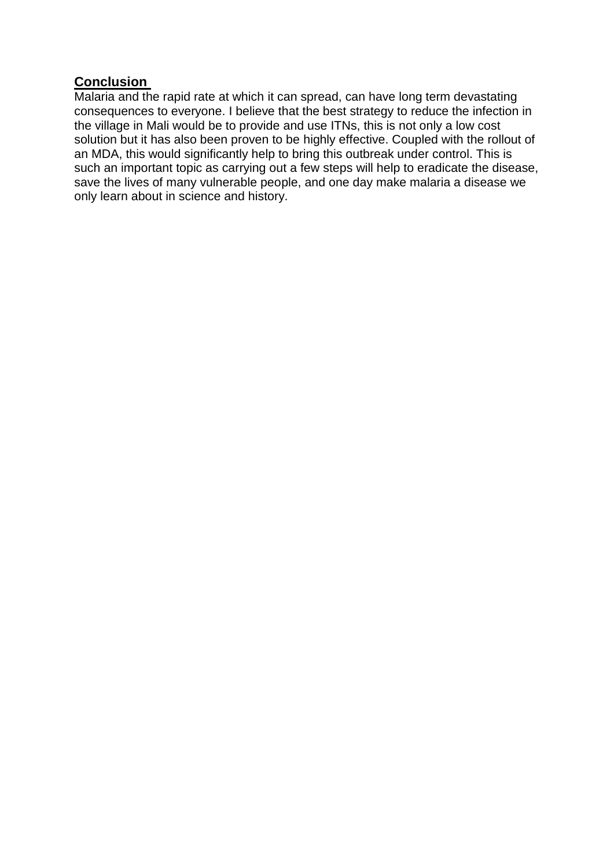### **Conclusion**

Malaria and the rapid rate at which it can spread, can have long term devastating consequences to everyone. I believe that the best strategy to reduce the infection in the village in Mali would be to provide and use ITNs, this is not only a low cost solution but it has also been proven to be highly effective. Coupled with the rollout of an MDA, this would significantly help to bring this outbreak under control. This is such an important topic as carrying out a few steps will help to eradicate the disease, save the lives of many vulnerable people, and one day make malaria a disease we only learn about in science and history.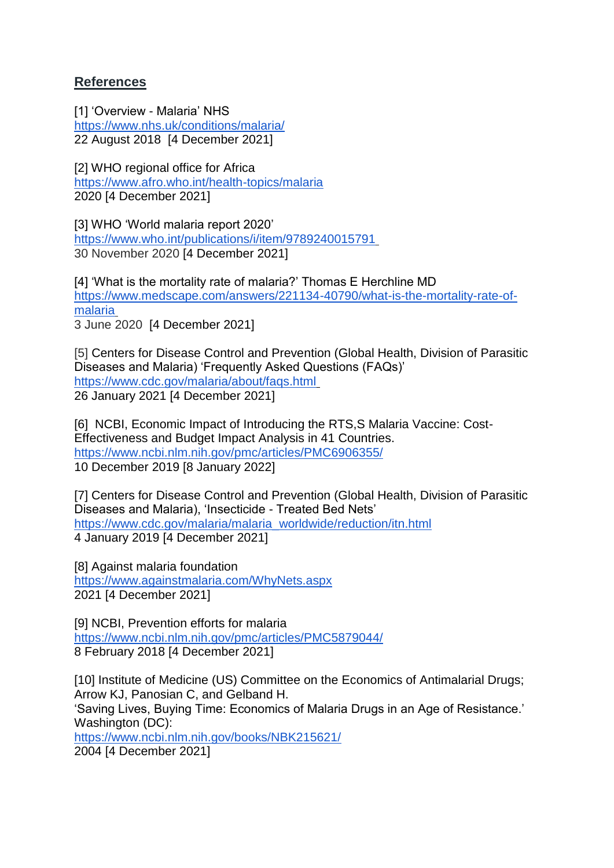# **References**

[1] 'Overview - Malaria' NHS <https://www.nhs.uk/conditions/malaria/> 22 August 2018 [4 December 2021]

[2] WHO regional office for Africa <https://www.afro.who.int/health-topics/malaria> 2020 [4 December 2021]

[3] WHO 'World malaria report 2020' <https://www.who.int/publications/i/item/9789240015791> 30 November 2020 [4 December 2021]

[4] 'What is the mortality rate of malaria?' Thomas E Herchline MD [https://www.medscape.com/answers/221134-40790/what-is-the-mortality-rate-of](https://www.medscape.com/answers/221134-40790/what-is-the-mortality-rate-of-malaria)[malaria](https://www.medscape.com/answers/221134-40790/what-is-the-mortality-rate-of-malaria) 3 June 2020 [4 December 2021]

[5] Centers for Disease Control and Prevention (Global Health, Division of Parasitic Diseases and Malaria) 'Frequently Asked Questions (FAQs)' <https://www.cdc.gov/malaria/about/faqs.html> 26 January 2021 [4 December 2021]

[6] NCBI, Economic Impact of Introducing the RTS, S Malaria Vaccine: Cost-Effectiveness and Budget Impact Analysis in 41 Countries. <https://www.ncbi.nlm.nih.gov/pmc/articles/PMC6906355/> 10 December 2019 [8 January 2022]

[7] Centers for Disease Control and Prevention (Global Health, Division of Parasitic Diseases and Malaria), 'Insecticide - Treated Bed Nets' [https://www.cdc.gov/malaria/malaria\\_worldwide/reduction/itn.html](https://www.cdc.gov/malaria/malaria_worldwide/reduction/itn.html) 4 January 2019 [4 December 2021]

[8] Against malaria foundation <https://www.againstmalaria.com/WhyNets.aspx> 2021 [4 December 2021]

[9] NCBI, Prevention efforts for malaria <https://www.ncbi.nlm.nih.gov/pmc/articles/PMC5879044/> 8 February 2018 [4 December 2021]

[10] Institute of Medicine (US) Committee on the Economics of Antimalarial Drugs; Arrow KJ, Panosian C, and Gelband H. 'Saving Lives, Buying Time: Economics of Malaria Drugs in an Age of Resistance.' Washington (DC): <https://www.ncbi.nlm.nih.gov/books/NBK215621/> 2004 [4 December 2021]